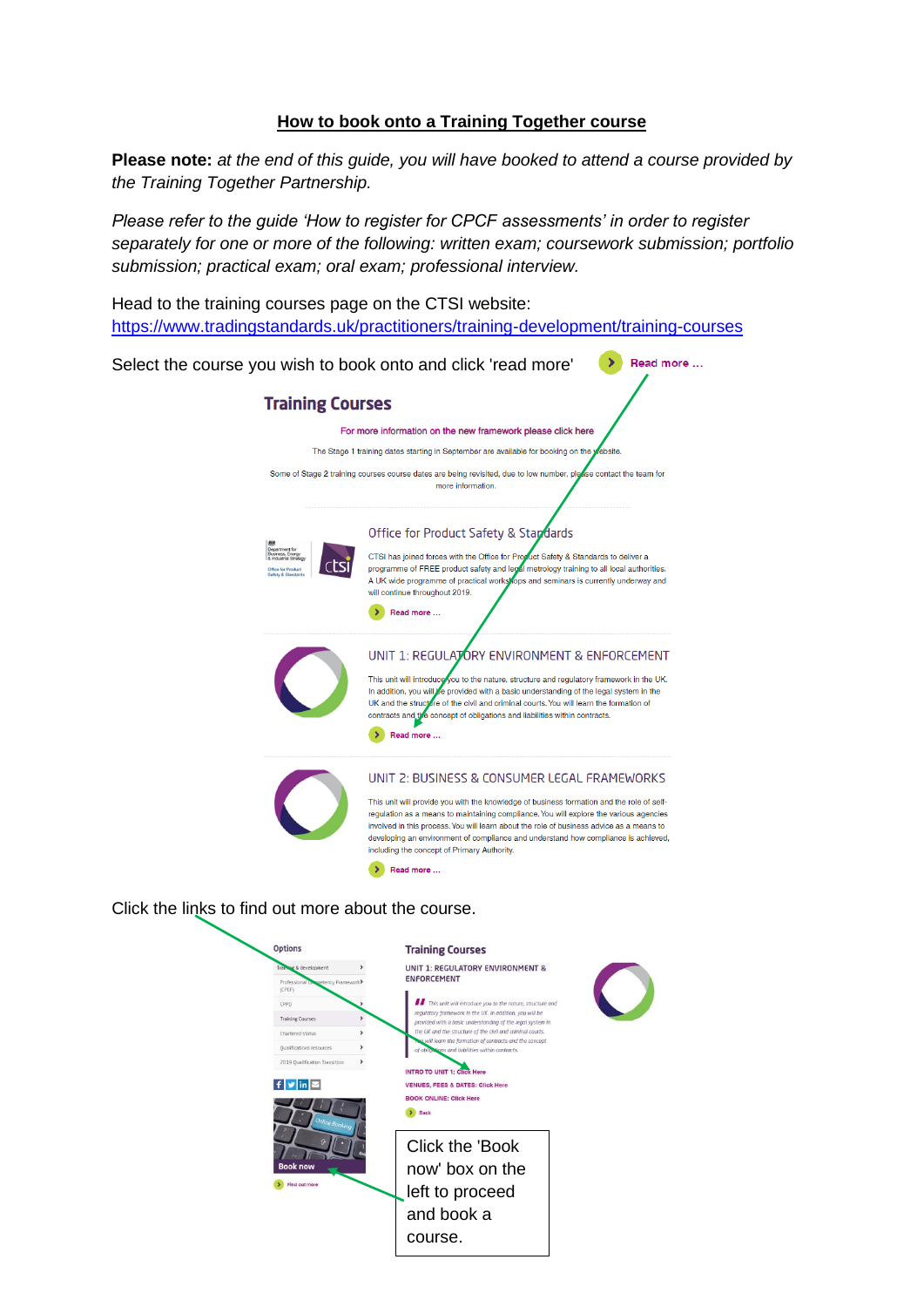## **How to book onto a Training Together course**

**Please note:** *at the end of this guide, you will have booked to attend a course provided by the Training Together Partnership.*

*Please refer to the guide 'How to register for CPCF assessments' in order to register separately for one or more of the following: written exam; coursework submission; portfolio submission; practical exam; oral exam; professional interview.*

Head to the training courses page on the CTSI website: <https://www.tradingstandards.uk/practitioners/training-development/training-courses>



Training

 $f$   $v$  in  $z$ 

Click the 'Book now' box on the left to proceed and book a course.

INTRO TO UNIT 1: Click Here

**VENUES, FEES & DATES: Click Here BOOK ONLINE: Click Here**  $\bullet$  Back

This unit will introduce you to the nature, structure and egulatory framework in the UK. In addition, you will be

consider with a basic understanding of the legal system in<br>toxided with a basic understanding of the legal system in<br>he UK and the structure of the civil and criminal courts.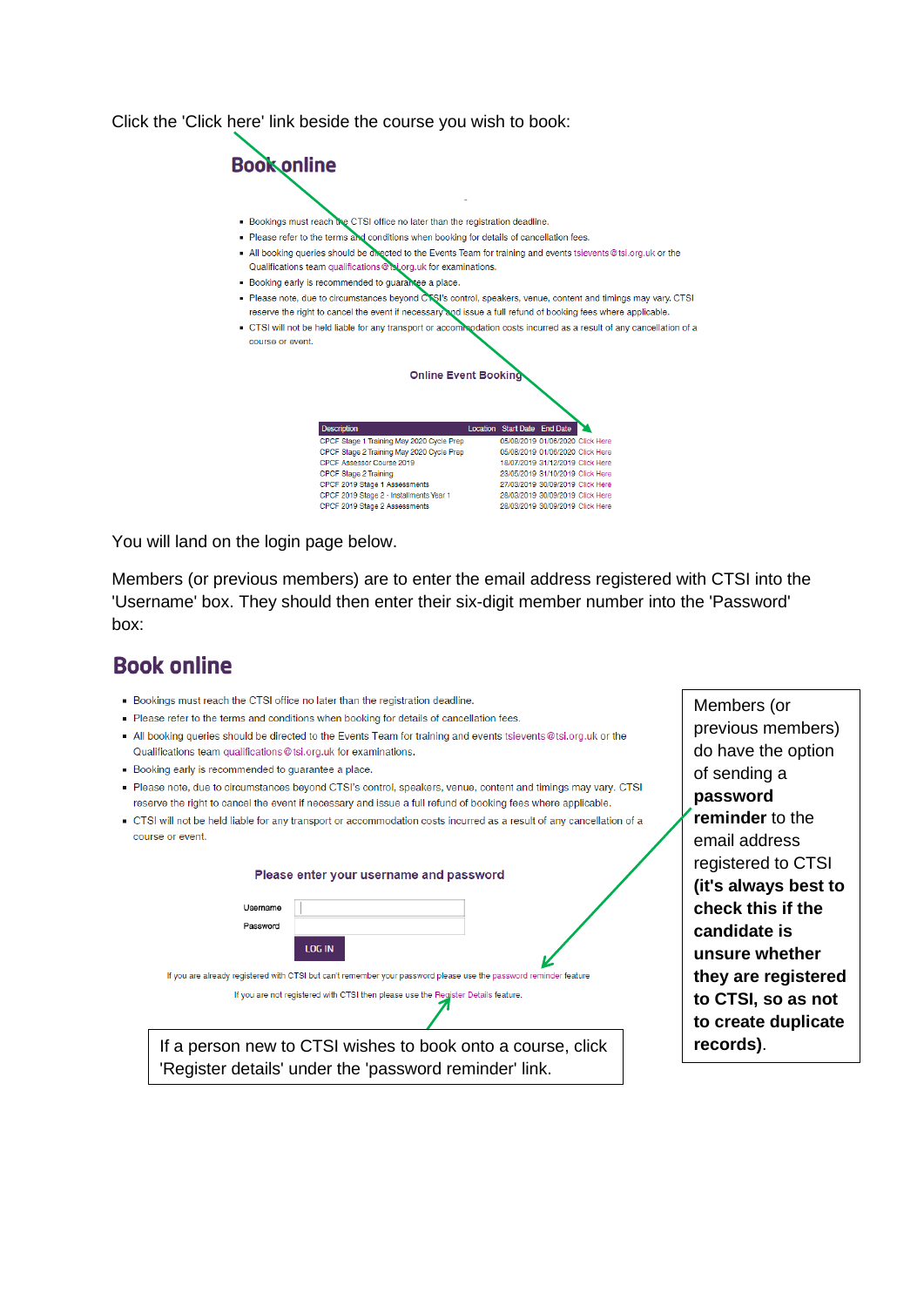Click the 'Click here' link beside the course you wish to book:



You will land on the login page below.

Members (or previous members) are to enter the email address registered with CTSI into the 'Username' box. They should then enter their six-digit member number into the 'Password' box:

## **Book online**

- . Bookings must reach the CTSI office no later than the registration deadline.
- · Please refer to the terms and conditions when booking for details of cancellation fees.
- All booking queries should be directed to the Events Team for training and events tsievents@tsi.org.uk or the Qualifications team qualifications@tsi.org.uk for examinations.
- Booking early is recommended to quarantee a place.
- Please note, due to circumstances beyond CTSI's control, speakers, venue, content and timings may vary. CTSI reserve the right to cancel the event if necessary and issue a full refund of booking fees where applicable.
- CTSI will not be held liable for any transport or accommodation costs incurred as a result of any cancellation of a course or event.

|          |        | Please enter your username and password                                                                               |
|----------|--------|-----------------------------------------------------------------------------------------------------------------------|
| Username |        |                                                                                                                       |
| Password |        |                                                                                                                       |
|          | LOG IN |                                                                                                                       |
|          |        | If you are already registered with CTSI but can't remember your password please use the password reminder feature     |
|          |        | If you are not registered with CTSI then please use the Register Details feature.                                     |
|          |        | If a person new to CTSI wishes to book onto a course, click<br>'Register details' under the 'password reminder' link. |

Members (or previous members) do have the option of sending a **password reminder** to the email address registered to CTSI **(it's always best to check this if the candidate is unsure whether they are registered to CTSI, so as not to create duplicate**  records).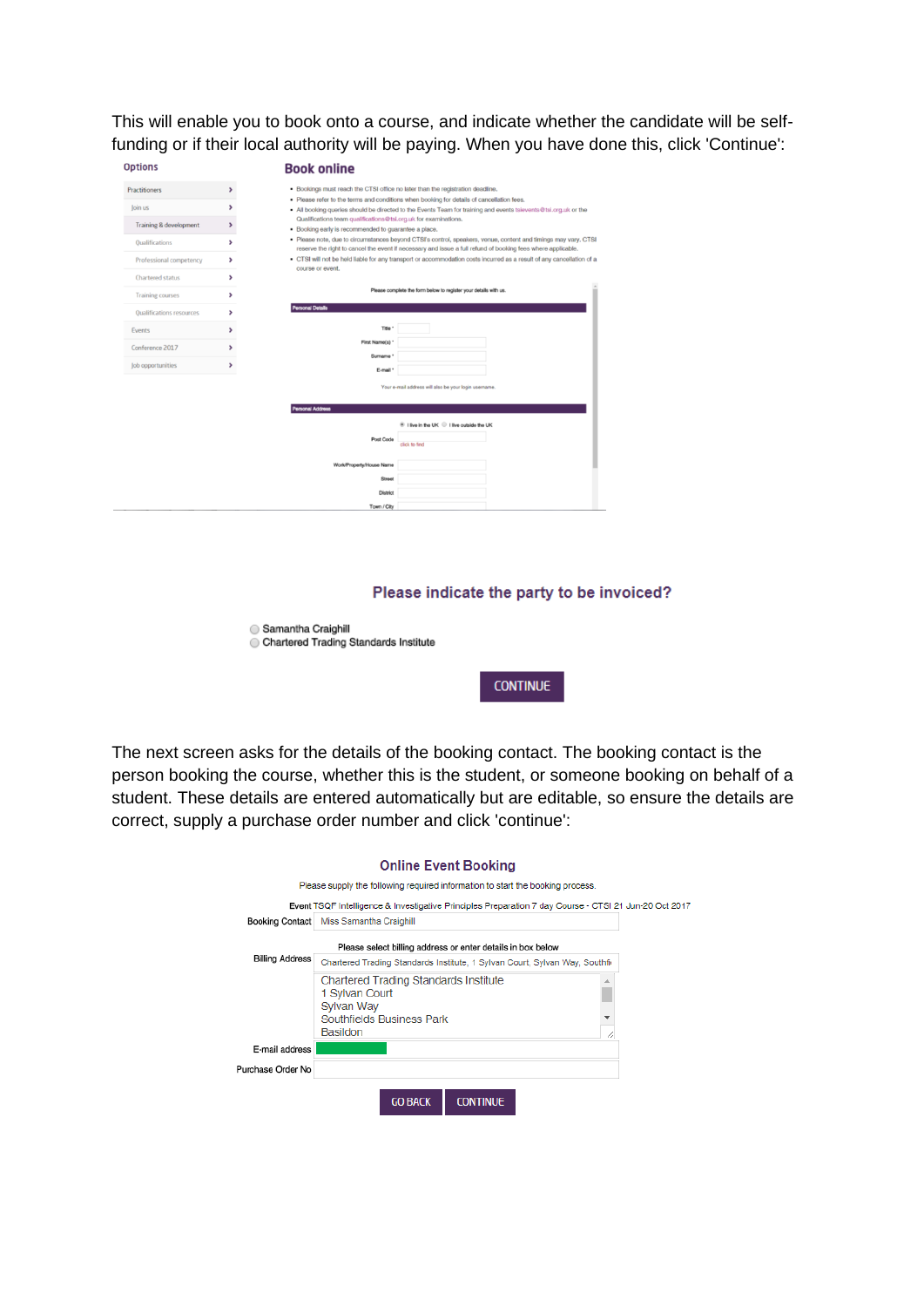This will enable you to book onto a course, and indicate whether the candidate will be selffunding or if their local authority will be paying. When you have done this, click 'Continue':

| <b>Options</b>                  | <b>Book online</b>                                                                                                                                                                                                                  |
|---------------------------------|-------------------------------------------------------------------------------------------------------------------------------------------------------------------------------------------------------------------------------------|
| <b>Practitioners</b>            | . Bookings must reach the CTSI office no later than the registration deadline.<br>>                                                                                                                                                 |
| Join us                         | . Please refer to the terms and conditions when booking for details of cancellation fees.                                                                                                                                           |
|                                 | • All booking queries should be directed to the Events Team for training and events tslevents@tsi.org.uk or the<br>Qualifications team qualifications@tsi.org.uk for examinations.                                                  |
| Training & development          | ▸<br>. Booking early is recommended to guarantee a place.                                                                                                                                                                           |
| <b>Oualifications</b>           | . Please note, due to circumstances beyond CTSI's control, speakers, venue, content and timings may vary. CTSI<br>,<br>reserve the right to cancel the event if necessary and issue a full refund of booking fees where applicable. |
| Professional competency         | . CTSI will not be held liable for any transport or accommodation costs incurred as a result of any cancellation of a<br>,<br>course or event.                                                                                      |
| <b>Chartered status</b>         | >                                                                                                                                                                                                                                   |
| <b>Training courses</b>         | Please complete the form below to register your details with us.<br>,                                                                                                                                                               |
| <b>Qualifications resources</b> | <b>Personal Details</b><br>>                                                                                                                                                                                                        |
| Events                          | Title '<br>>                                                                                                                                                                                                                        |
| Conference 2017                 | First Name(s) *<br>,                                                                                                                                                                                                                |
| Job opportunities               | Surname *<br>,                                                                                                                                                                                                                      |
|                                 | E-mail *                                                                                                                                                                                                                            |
|                                 | Your e-mail address will also be your login username.                                                                                                                                                                               |
|                                 | <b>Personal Address</b>                                                                                                                                                                                                             |
|                                 | ® I live in the UK <sup>●</sup> I live outside the UK                                                                                                                                                                               |
|                                 | Post Code<br>click to find                                                                                                                                                                                                          |
|                                 | Work/Property/House Name                                                                                                                                                                                                            |
|                                 | Street                                                                                                                                                                                                                              |
|                                 | <b>District</b>                                                                                                                                                                                                                     |
|                                 |                                                                                                                                                                                                                                     |

## Please indicate the party to be invoiced?

| Samantha Craighill                    |  |
|---------------------------------------|--|
| Chartered Trading Standards Institute |  |



The next screen asks for the details of the booking contact. The booking contact is the person booking the course, whether this is the student, or someone booking on behalf of a student. These details are entered automatically but are editable, so ensure the details are correct, supply a purchase order number and click 'continue':

|                                                                                                                              | <b>Online Event Booking</b>                                                                           |  |  |  |  |  |  |
|------------------------------------------------------------------------------------------------------------------------------|-------------------------------------------------------------------------------------------------------|--|--|--|--|--|--|
|                                                                                                                              | Please supply the following required information to start the booking process.                        |  |  |  |  |  |  |
|                                                                                                                              | Event TSQF Intelligence & Investigative Principles Preparation 7 day Course - CTSI 21 Jun-20 Oct 2017 |  |  |  |  |  |  |
| <b>Booking Contact</b>                                                                                                       | Miss Samantha Craighill                                                                               |  |  |  |  |  |  |
|                                                                                                                              | Please select billing address or enter details in box below                                           |  |  |  |  |  |  |
| <b>Billing Address</b>                                                                                                       | Chartered Trading Standards Institute, 1 Sylvan Court, Sylvan Way, Southfi-                           |  |  |  |  |  |  |
| <b>Chartered Trading Standards Institute</b><br>1 Svivan Court<br>Sylvan Way<br>Southfields Business Park<br><b>Basildon</b> |                                                                                                       |  |  |  |  |  |  |
| E-mail address                                                                                                               |                                                                                                       |  |  |  |  |  |  |
| Purchase Order No                                                                                                            |                                                                                                       |  |  |  |  |  |  |
|                                                                                                                              | <b>GO BACK</b><br><b>CONTINUE</b>                                                                     |  |  |  |  |  |  |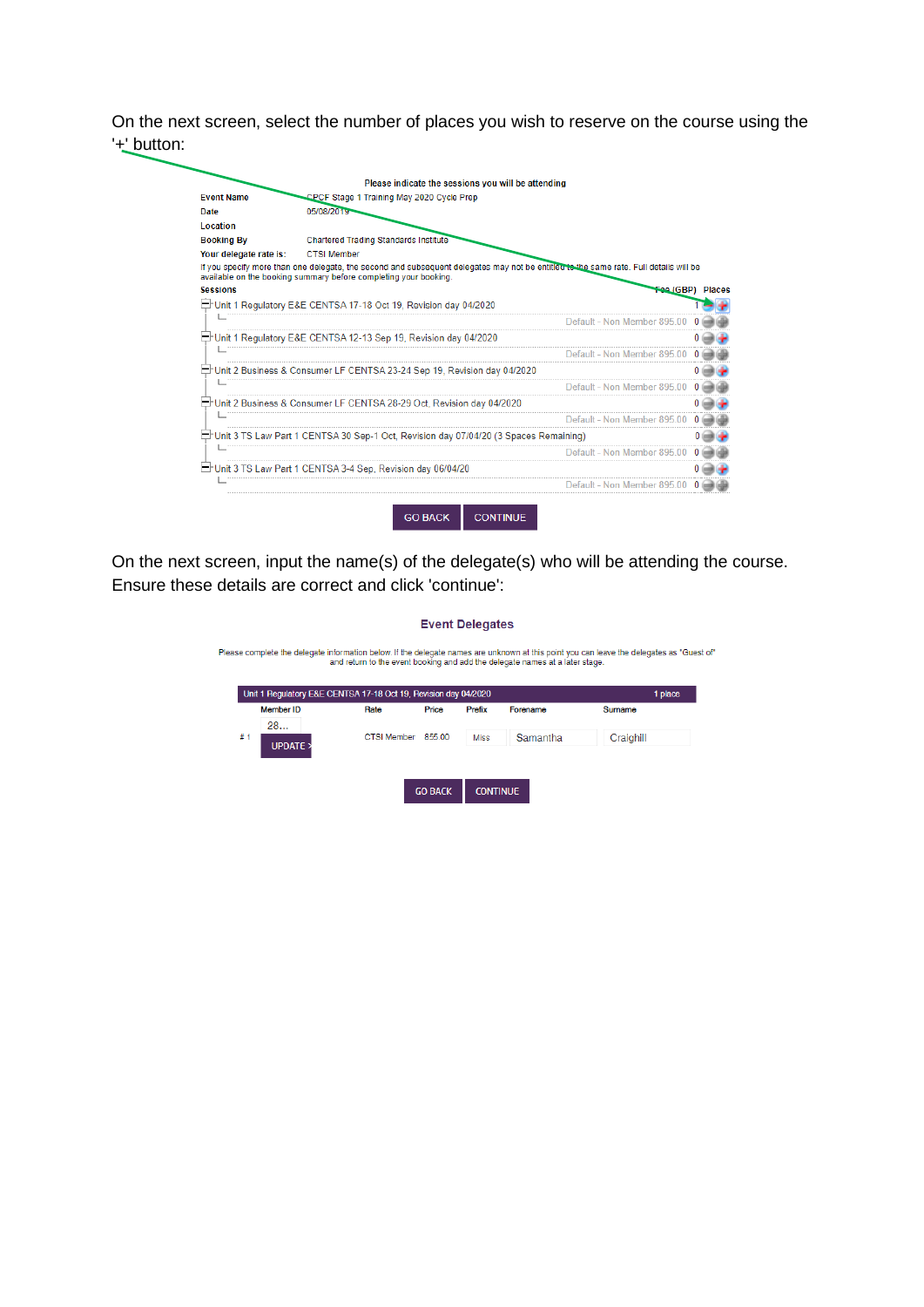On the next screen, select the number of places you wish to reserve on the course using the '+' button:

| <b>Event Name</b>      | CPCF Stage 1 Training May 2020 Cycle Prep                                                                                             |
|------------------------|---------------------------------------------------------------------------------------------------------------------------------------|
| Date                   | 05/08/2019                                                                                                                            |
| Location               |                                                                                                                                       |
| <b>Booking By</b>      | <b>Chartered Trading Standards Institute</b>                                                                                          |
| Your delegate rate is: | <b>CTSI Member</b>                                                                                                                    |
|                        | If you specify more than one delegate, the second and subsequent delegates may not be entitled to the same rate. Full details will be |
| <b>Sessions</b>        | available on the booking summary before completing your booking.                                                                      |
|                        | Fee (GBP) Places                                                                                                                      |
|                        | Unit 1 Regulatory E&E CENTSA 17-18 Oct 19, Revision day 04/2020                                                                       |
|                        | Default - Non Member 895.00                                                                                                           |
|                        | Unit 1 Regulatory E&E CENTSA 12-13 Sep 19, Revision day 04/2020                                                                       |
|                        | Default - Non Member 895.00                                                                                                           |
|                        | tr∐l Unit 2 Business & Consumer LF CENTSA 23-24 Sep 19, Revision day 04/2020⊑                                                         |
|                        | Default - Non Member 895.00                                                                                                           |
|                        | Unit 2 Business & Consumer LF CENTSA 28-29 Oct, Revision day 04/2020                                                                  |
|                        | Default - Non Member 895 00                                                                                                           |
|                        | (3 Spaces Remaining: "Unit 3 TS Law Part 1 CENTSA 30 Sep-1 Oct, Revision day 07/04/20"] בד                                            |
|                        | Default - Non Member 895.00                                                                                                           |
|                        |                                                                                                                                       |
|                        | Unit 3 TS Law Part 1 CENTSA 3-4 Sep, Revision day 06/04/20                                                                            |
|                        |                                                                                                                                       |

On the next screen, input the name(s) of the delegate(s) who will be attending the course. Ensure these details are correct and click 'continue':

| <b>Event Delegates</b>                                                                                                                                                                                                    |                                                                 |             |                |                 |          |           |         |
|---------------------------------------------------------------------------------------------------------------------------------------------------------------------------------------------------------------------------|-----------------------------------------------------------------|-------------|----------------|-----------------|----------|-----------|---------|
| Please complete the delegate information below. If the delegate names are unknown at this point you can leave the delegates as "Guest of"<br>and return to the event booking and add the delegate names at a later stage. |                                                                 |             |                |                 |          |           |         |
|                                                                                                                                                                                                                           | Unit 1 Regulatory E&E CENTSA 17-18 Oct 19, Revision day 04/2020 |             |                |                 |          |           | 1 place |
|                                                                                                                                                                                                                           | <b>Member ID</b>                                                | Rate        | Price          | Prefix          | Forename | Surname   |         |
|                                                                                                                                                                                                                           | 28                                                              |             |                |                 |          |           |         |
| #1                                                                                                                                                                                                                        | <b>UPDATE</b>                                                   | CTSI Member | 855.00         | <b>Miss</b>     | Samantha | Craighill |         |
|                                                                                                                                                                                                                           |                                                                 |             |                |                 |          |           |         |
|                                                                                                                                                                                                                           |                                                                 |             |                |                 |          |           |         |
|                                                                                                                                                                                                                           |                                                                 |             | <b>GO BACK</b> | <b>CONTINUE</b> |          |           |         |